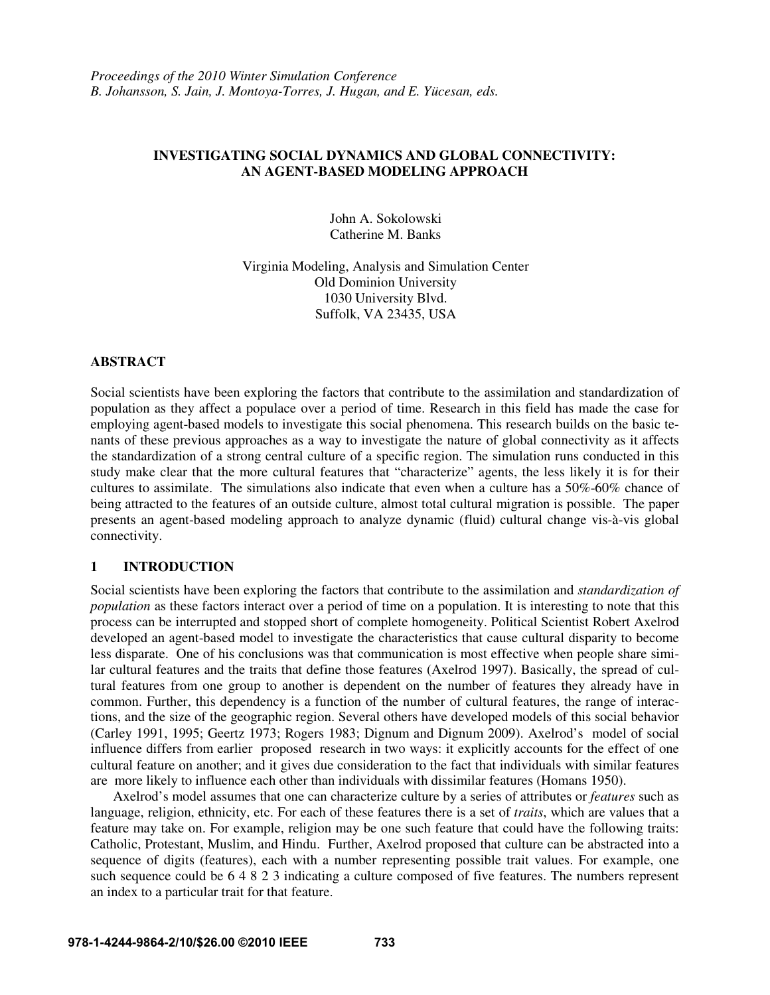# **INVESTIGATING SOCIAL DYNAMICS AND GLOBAL CONNECTIVITY: AN AGENT-BASED MODELING APPROACH**

John A. Sokolowski Catherine M. Banks

Virginia Modeling, Analysis and Simulation Center Old Dominion University 1030 University Blvd. Suffolk, VA 23435, USA

### **ABSTRACT**

Social scientists have been exploring the factors that contribute to the assimilation and standardization of population as they affect a populace over a period of time. Research in this field has made the case for employing agent-based models to investigate this social phenomena. This research builds on the basic tenants of these previous approaches as a way to investigate the nature of global connectivity as it affects the standardization of a strong central culture of a specific region. The simulation runs conducted in this study make clear that the more cultural features that "characterize" agents, the less likely it is for their cultures to assimilate. The simulations also indicate that even when a culture has a 50%-60% chance of being attracted to the features of an outside culture, almost total cultural migration is possible. The paper presents an agent-based modeling approach to analyze dynamic (fluid) cultural change vis-à-vis global connectivity.

### **1 INTRODUCTION**

Social scientists have been exploring the factors that contribute to the assimilation and *standardization of population* as these factors interact over a period of time on a population. It is interesting to note that this process can be interrupted and stopped short of complete homogeneity. Political Scientist Robert Axelrod developed an agent-based model to investigate the characteristics that cause cultural disparity to become less disparate. One of his conclusions was that communication is most effective when people share similar cultural features and the traits that define those features (Axelrod 1997). Basically, the spread of cultural features from one group to another is dependent on the number of features they already have in common. Further, this dependency is a function of the number of cultural features, the range of interactions, and the size of the geographic region. Several others have developed models of this social behavior (Carley 1991, 1995; Geertz 1973; Rogers 1983; Dignum and Dignum 2009). Axelrod's model of social influence differs from earlier proposed research in two ways: it explicitly accounts for the effect of one cultural feature on another; and it gives due consideration to the fact that individuals with similar features are more likely to influence each other than individuals with dissimilar features (Homans 1950).

Axelrod's model assumes that one can characterize culture by a series of attributes or *features* such as language, religion, ethnicity, etc. For each of these features there is a set of *traits*, which are values that a feature may take on. For example, religion may be one such feature that could have the following traits: Catholic, Protestant, Muslim, and Hindu. Further, Axelrod proposed that culture can be abstracted into a sequence of digits (features), each with a number representing possible trait values. For example, one such sequence could be 6 4 8 2 3 indicating a culture composed of five features. The numbers represent an index to a particular trait for that feature.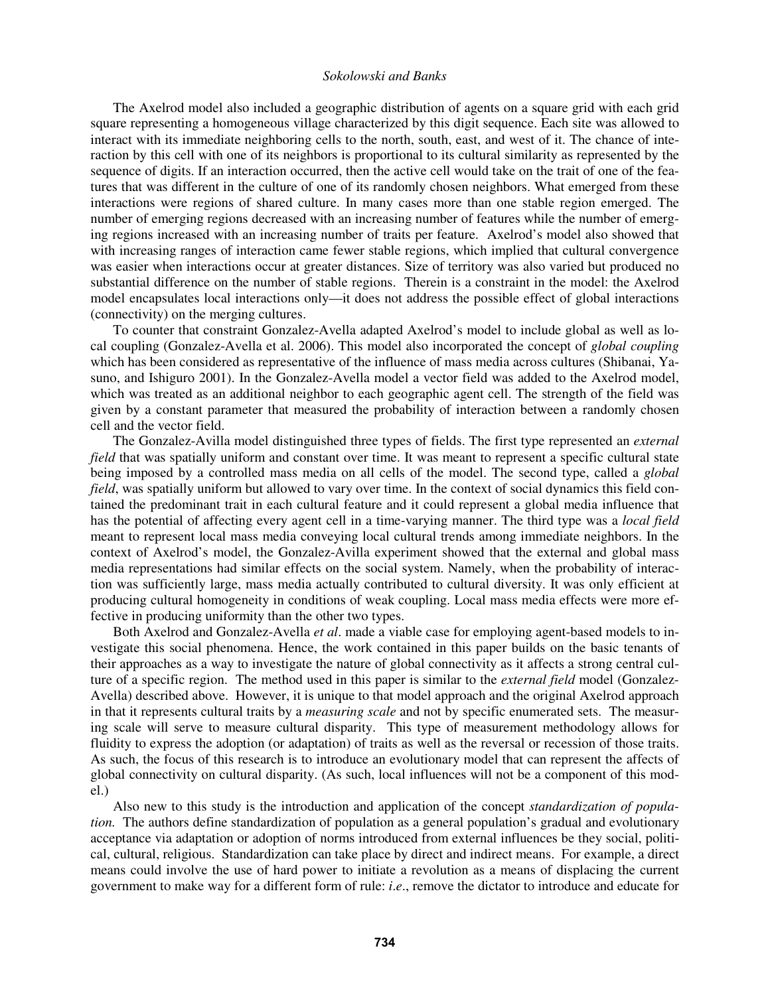The Axelrod model also included a geographic distribution of agents on a square grid with each grid square representing a homogeneous village characterized by this digit sequence. Each site was allowed to interact with its immediate neighboring cells to the north, south, east, and west of it. The chance of interaction by this cell with one of its neighbors is proportional to its cultural similarity as represented by the sequence of digits. If an interaction occurred, then the active cell would take on the trait of one of the features that was different in the culture of one of its randomly chosen neighbors. What emerged from these interactions were regions of shared culture. In many cases more than one stable region emerged. The number of emerging regions decreased with an increasing number of features while the number of emerging regions increased with an increasing number of traits per feature. Axelrod's model also showed that with increasing ranges of interaction came fewer stable regions, which implied that cultural convergence was easier when interactions occur at greater distances. Size of territory was also varied but produced no substantial difference on the number of stable regions. Therein is a constraint in the model: the Axelrod model encapsulates local interactions only—it does not address the possible effect of global interactions (connectivity) on the merging cultures.

To counter that constraint Gonzalez-Avella adapted Axelrod's model to include global as well as local coupling (Gonzalez-Avella et al. 2006). This model also incorporated the concept of *global coupling* which has been considered as representative of the influence of mass media across cultures (Shibanai, Yasuno, and Ishiguro 2001). In the Gonzalez-Avella model a vector field was added to the Axelrod model, which was treated as an additional neighbor to each geographic agent cell. The strength of the field was given by a constant parameter that measured the probability of interaction between a randomly chosen cell and the vector field.

The Gonzalez-Avilla model distinguished three types of fields. The first type represented an *external field* that was spatially uniform and constant over time. It was meant to represent a specific cultural state being imposed by a controlled mass media on all cells of the model. The second type, called a *global field*, was spatially uniform but allowed to vary over time. In the context of social dynamics this field contained the predominant trait in each cultural feature and it could represent a global media influence that has the potential of affecting every agent cell in a time-varying manner. The third type was a *local field* meant to represent local mass media conveying local cultural trends among immediate neighbors. In the context of Axelrod's model, the Gonzalez-Avilla experiment showed that the external and global mass media representations had similar effects on the social system. Namely, when the probability of interaction was sufficiently large, mass media actually contributed to cultural diversity. It was only efficient at producing cultural homogeneity in conditions of weak coupling. Local mass media effects were more effective in producing uniformity than the other two types.

Both Axelrod and Gonzalez-Avella *et al*. made a viable case for employing agent-based models to investigate this social phenomena. Hence, the work contained in this paper builds on the basic tenants of their approaches as a way to investigate the nature of global connectivity as it affects a strong central culture of a specific region. The method used in this paper is similar to the *external field* model (Gonzalez-Avella) described above. However, it is unique to that model approach and the original Axelrod approach in that it represents cultural traits by a *measuring scale* and not by specific enumerated sets. The measuring scale will serve to measure cultural disparity. This type of measurement methodology allows for fluidity to express the adoption (or adaptation) of traits as well as the reversal or recession of those traits. As such, the focus of this research is to introduce an evolutionary model that can represent the affects of global connectivity on cultural disparity. (As such, local influences will not be a component of this model.)

 Also new to this study is the introduction and application of the concept *standardization of population.* The authors define standardization of population as a general population's gradual and evolutionary acceptance via adaptation or adoption of norms introduced from external influences be they social, political, cultural, religious. Standardization can take place by direct and indirect means. For example, a direct means could involve the use of hard power to initiate a revolution as a means of displacing the current government to make way for a different form of rule: *i*.*e*., remove the dictator to introduce and educate for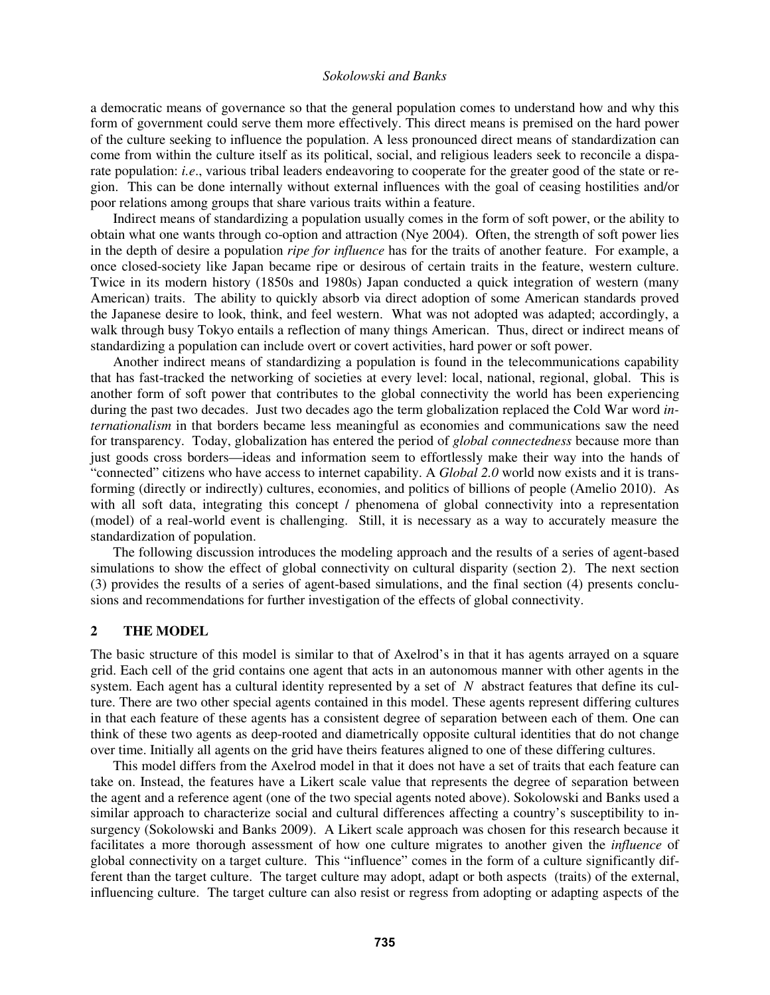a democratic means of governance so that the general population comes to understand how and why this form of government could serve them more effectively. This direct means is premised on the hard power of the culture seeking to influence the population. A less pronounced direct means of standardization can come from within the culture itself as its political, social, and religious leaders seek to reconcile a disparate population: *i.e*., various tribal leaders endeavoring to cooperate for the greater good of the state or region. This can be done internally without external influences with the goal of ceasing hostilities and/or poor relations among groups that share various traits within a feature.

 Indirect means of standardizing a population usually comes in the form of soft power, or the ability to obtain what one wants through co-option and attraction (Nye 2004). Often, the strength of soft power lies in the depth of desire a population *ripe for influence* has for the traits of another feature. For example, a once closed-society like Japan became ripe or desirous of certain traits in the feature, western culture. Twice in its modern history (1850s and 1980s) Japan conducted a quick integration of western (many American) traits. The ability to quickly absorb via direct adoption of some American standards proved the Japanese desire to look, think, and feel western. What was not adopted was adapted; accordingly, a walk through busy Tokyo entails a reflection of many things American. Thus, direct or indirect means of standardizing a population can include overt or covert activities, hard power or soft power.

Another indirect means of standardizing a population is found in the telecommunications capability that has fast-tracked the networking of societies at every level: local, national, regional, global. This is another form of soft power that contributes to the global connectivity the world has been experiencing during the past two decades. Just two decades ago the term globalization replaced the Cold War word *internationalism* in that borders became less meaningful as economies and communications saw the need for transparency. Today, globalization has entered the period of *global connectedness* because more than just goods cross borders—ideas and information seem to effortlessly make their way into the hands of "connected" citizens who have access to internet capability. A *Global 2.0* world now exists and it is transforming (directly or indirectly) cultures, economies, and politics of billions of people (Amelio 2010). As with all soft data, integrating this concept / phenomena of global connectivity into a representation (model) of a real-world event is challenging. Still, it is necessary as a way to accurately measure the standardization of population.

The following discussion introduces the modeling approach and the results of a series of agent-based simulations to show the effect of global connectivity on cultural disparity (section 2). The next section (3) provides the results of a series of agent-based simulations, and the final section (4) presents conclusions and recommendations for further investigation of the effects of global connectivity.

## **2 THE MODEL**

The basic structure of this model is similar to that of Axelrod's in that it has agents arrayed on a square grid. Each cell of the grid contains one agent that acts in an autonomous manner with other agents in the system. Each agent has a cultural identity represented by a set of *N* abstract features that define its culture. There are two other special agents contained in this model. These agents represent differing cultures in that each feature of these agents has a consistent degree of separation between each of them. One can think of these two agents as deep-rooted and diametrically opposite cultural identities that do not change over time. Initially all agents on the grid have theirs features aligned to one of these differing cultures.

This model differs from the Axelrod model in that it does not have a set of traits that each feature can take on. Instead, the features have a Likert scale value that represents the degree of separation between the agent and a reference agent (one of the two special agents noted above). Sokolowski and Banks used a similar approach to characterize social and cultural differences affecting a country's susceptibility to insurgency (Sokolowski and Banks 2009). A Likert scale approach was chosen for this research because it facilitates a more thorough assessment of how one culture migrates to another given the *influence* of global connectivity on a target culture. This "influence" comes in the form of a culture significantly different than the target culture. The target culture may adopt, adapt or both aspects (traits) of the external, influencing culture. The target culture can also resist or regress from adopting or adapting aspects of the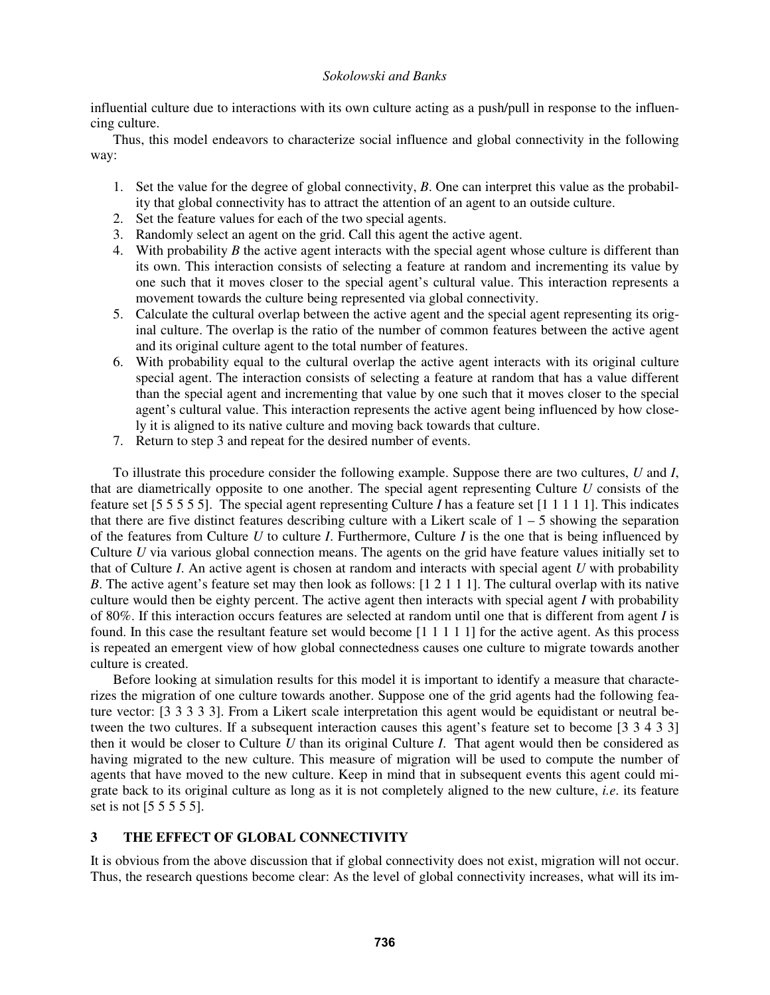influential culture due to interactions with its own culture acting as a push/pull in response to the influencing culture.

Thus, this model endeavors to characterize social influence and global connectivity in the following way:

- 1. Set the value for the degree of global connectivity, *B*. One can interpret this value as the probability that global connectivity has to attract the attention of an agent to an outside culture.
- 2. Set the feature values for each of the two special agents.
- 3. Randomly select an agent on the grid. Call this agent the active agent.
- 4. With probability *B* the active agent interacts with the special agent whose culture is different than its own. This interaction consists of selecting a feature at random and incrementing its value by one such that it moves closer to the special agent's cultural value. This interaction represents a movement towards the culture being represented via global connectivity.
- 5. Calculate the cultural overlap between the active agent and the special agent representing its original culture. The overlap is the ratio of the number of common features between the active agent and its original culture agent to the total number of features.
- 6. With probability equal to the cultural overlap the active agent interacts with its original culture special agent. The interaction consists of selecting a feature at random that has a value different than the special agent and incrementing that value by one such that it moves closer to the special agent's cultural value. This interaction represents the active agent being influenced by how closely it is aligned to its native culture and moving back towards that culture.
- 7. Return to step 3 and repeat for the desired number of events.

To illustrate this procedure consider the following example. Suppose there are two cultures, *U* and *I*, that are diametrically opposite to one another. The special agent representing Culture *U* consists of the feature set [5 5 5 5 5]. The special agent representing Culture *I* has a feature set [1 1 1 1 1]. This indicates that there are five distinct features describing culture with a Likert scale of  $1 - 5$  showing the separation of the features from Culture *U* to culture *I*. Furthermore, Culture *I* is the one that is being influenced by Culture *U* via various global connection means. The agents on the grid have feature values initially set to that of Culture *I*. An active agent is chosen at random and interacts with special agent *U* with probability *B*. The active agent's feature set may then look as follows: [1 2 1 1 1]. The cultural overlap with its native culture would then be eighty percent. The active agent then interacts with special agent *I* with probability of 80%. If this interaction occurs features are selected at random until one that is different from agent *I* is found. In this case the resultant feature set would become [1 1 1 1 1] for the active agent. As this process is repeated an emergent view of how global connectedness causes one culture to migrate towards another culture is created.

Before looking at simulation results for this model it is important to identify a measure that characterizes the migration of one culture towards another. Suppose one of the grid agents had the following feature vector: [3 3 3 3 3]. From a Likert scale interpretation this agent would be equidistant or neutral between the two cultures. If a subsequent interaction causes this agent's feature set to become [3 3 4 3 3] then it would be closer to Culture *U* than its original Culture *I*. That agent would then be considered as having migrated to the new culture. This measure of migration will be used to compute the number of agents that have moved to the new culture. Keep in mind that in subsequent events this agent could migrate back to its original culture as long as it is not completely aligned to the new culture, *i.e*. its feature set is not [5 5 5 5 5].

# **3 THE EFFECT OF GLOBAL CONNECTIVITY**

It is obvious from the above discussion that if global connectivity does not exist, migration will not occur. Thus, the research questions become clear: As the level of global connectivity increases, what will its im-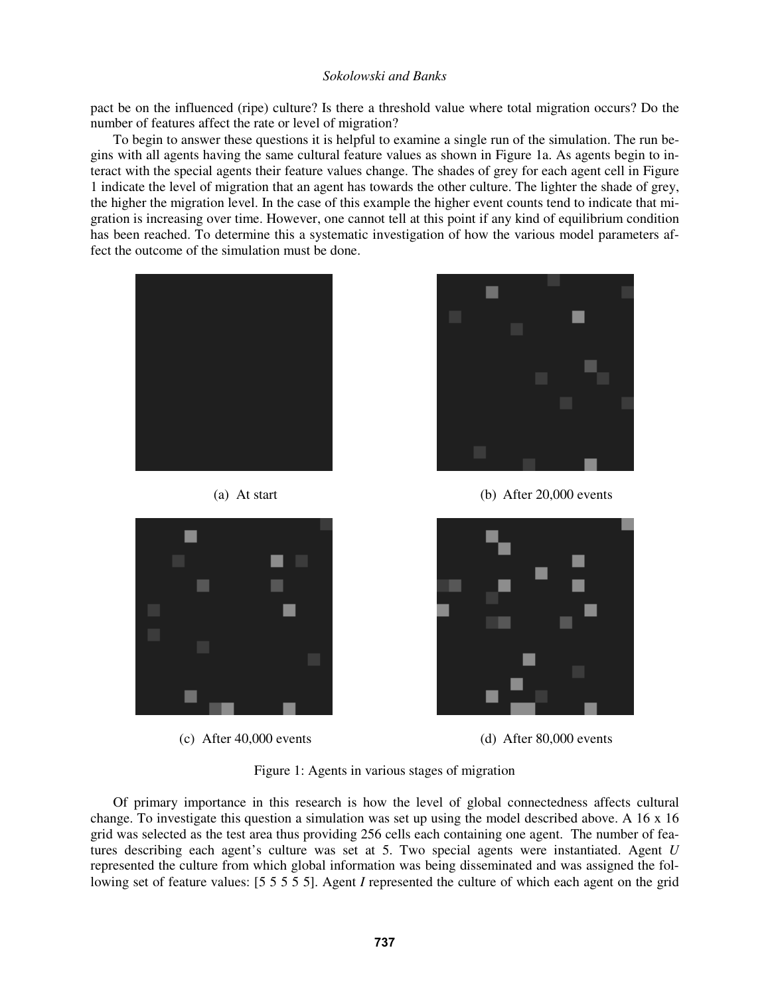pact be on the influenced (ripe) culture? Is there a threshold value where total migration occurs? Do the number of features affect the rate or level of migration?

 To begin to answer these questions it is helpful to examine a single run of the simulation. The run begins with all agents having the same cultural feature values as shown in Figure 1a. As agents begin to interact with the special agents their feature values change. The shades of grey for each agent cell in Figure 1 indicate the level of migration that an agent has towards the other culture. The lighter the shade of grey, the higher the migration level. In the case of this example the higher event counts tend to indicate that migration is increasing over time. However, one cannot tell at this point if any kind of equilibrium condition has been reached. To determine this a systematic investigation of how the various model parameters affect the outcome of the simulation must be done.









(a) At start (b) After 20,000 events



(c) After 40,000 events (d) After 80,000 events

Figure 1: Agents in various stages of migration

Of primary importance in this research is how the level of global connectedness affects cultural change. To investigate this question a simulation was set up using the model described above. A 16 x 16 grid was selected as the test area thus providing 256 cells each containing one agent. The number of features describing each agent's culture was set at 5. Two special agents were instantiated. Agent *U* represented the culture from which global information was being disseminated and was assigned the following set of feature values: [5 5 5 5 5]. Agent *I* represented the culture of which each agent on the grid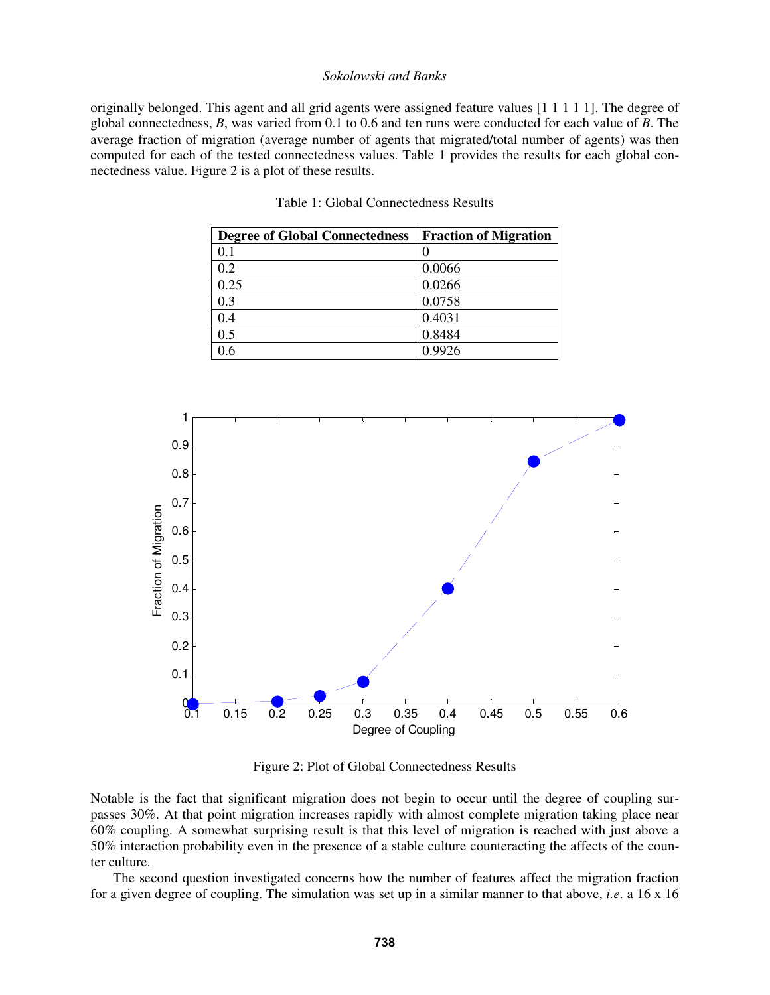originally belonged. This agent and all grid agents were assigned feature values [1 1 1 1 1]. The degree of global connectedness, *B*, was varied from 0.1 to 0.6 and ten runs were conducted for each value of *B*. The average fraction of migration (average number of agents that migrated/total number of agents) was then computed for each of the tested connectedness values. Table 1 provides the results for each global connectedness value. Figure 2 is a plot of these results.

| <b>Degree of Global Connectedness</b> | <b>Fraction of Migration</b> |
|---------------------------------------|------------------------------|
| 0.1                                   |                              |
| 0.2                                   | 0.0066                       |
| 0.25                                  | 0.0266                       |
| 0.3                                   | 0.0758                       |
| 0.4                                   | 0.4031                       |
| 0.5                                   | 0.8484                       |
| ) 6                                   | 0.9926                       |



Figure 2: Plot of Global Connectedness Results

Notable is the fact that significant migration does not begin to occur until the degree of coupling surpasses 30%. At that point migration increases rapidly with almost complete migration taking place near 60% coupling. A somewhat surprising result is that this level of migration is reached with just above a 50% interaction probability even in the presence of a stable culture counteracting the affects of the counter culture.

The second question investigated concerns how the number of features affect the migration fraction for a given degree of coupling. The simulation was set up in a similar manner to that above, *i.e*. a 16 x 16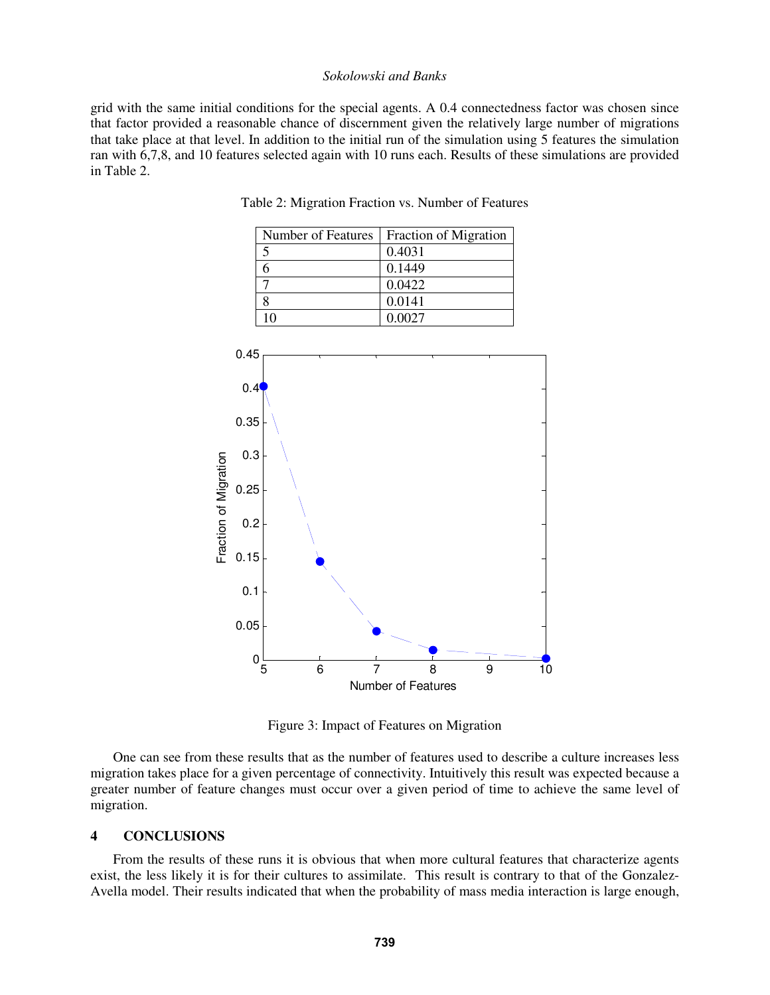grid with the same initial conditions for the special agents. A 0.4 connectedness factor was chosen since that factor provided a reasonable chance of discernment given the relatively large number of migrations that take place at that level. In addition to the initial run of the simulation using 5 features the simulation ran with 6,7,8, and 10 features selected again with 10 runs each. Results of these simulations are provided in Table 2.



Table 2: Migration Fraction vs. Number of Features

Figure 3: Impact of Features on Migration

One can see from these results that as the number of features used to describe a culture increases less migration takes place for a given percentage of connectivity. Intuitively this result was expected because a greater number of feature changes must occur over a given period of time to achieve the same level of migration.

### **4 CONCLUSIONS**

From the results of these runs it is obvious that when more cultural features that characterize agents exist, the less likely it is for their cultures to assimilate. This result is contrary to that of the Gonzalez-Avella model. Their results indicated that when the probability of mass media interaction is large enough,